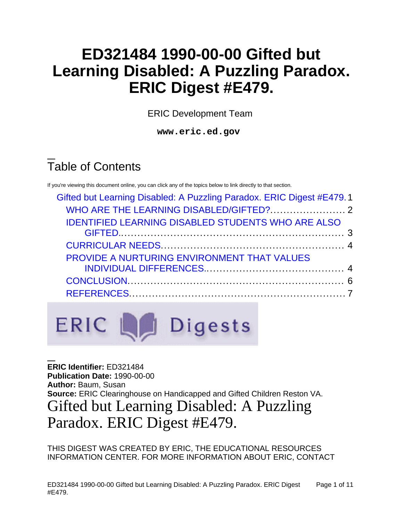# **ED321484 1990-00-00 Gifted but Learning Disabled: A Puzzling Paradox. ERIC Digest #E479.**

ERIC Development Team

**www.eric.ed.gov**

# Table of Contents

If you're viewing this document online, you can click any of the topics below to link directly to that section.

| Gifted but Learning Disabled: A Puzzling Paradox. ERIC Digest #E479.1 |  |
|-----------------------------------------------------------------------|--|
|                                                                       |  |
| <b>IDENTIFIED LEARNING DISABLED STUDENTS WHO ARE ALSO</b>             |  |
|                                                                       |  |
|                                                                       |  |
| PROVIDE A NURTURING ENVIRONMENT THAT VALUES                           |  |
|                                                                       |  |
|                                                                       |  |
|                                                                       |  |
|                                                                       |  |



<span id="page-0-0"></span>**ERIC Identifier:** ED321484 **Publication Date:** 1990-00-00 **Author:** Baum, Susan **Source:** ERIC Clearinghouse on Handicapped and Gifted Children Reston VA. Gifted but Learning Disabled: A Puzzling Paradox. ERIC Digest #E479.

THIS DIGEST WAS CREATED BY ERIC, THE EDUCATIONAL RESOURCES INFORMATION CENTER. FOR MORE INFORMATION ABOUT ERIC, CONTACT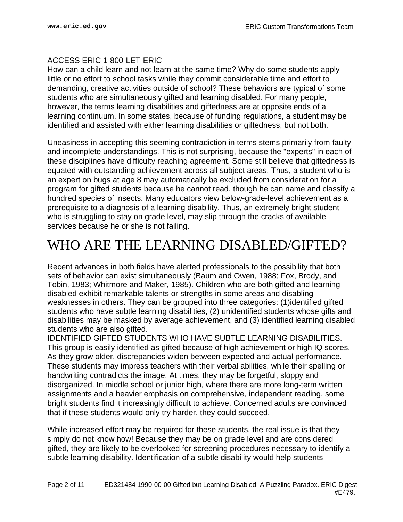#### ACCESS ERIC 1-800-LET-ERIC

How can a child learn and not learn at the same time? Why do some students apply little or no effort to school tasks while they commit considerable time and effort to demanding, creative activities outside of school? These behaviors are typical of some students who are simultaneously gifted and learning disabled. For many people, however, the terms learning disabilities and giftedness are at opposite ends of a learning continuum. In some states, because of funding regulations, a student may be identified and assisted with either learning disabilities or giftedness, but not both.

Uneasiness in accepting this seeming contradiction in terms stems primarily from faulty and incomplete understandings. This is not surprising, because the "experts" in each of these disciplines have difficulty reaching agreement. Some still believe that giftedness is equated with outstanding achievement across all subject areas. Thus, a student who is an expert on bugs at age 8 may automatically be excluded from consideration for a program for gifted students because he cannot read, though he can name and classify a hundred species of insects. Many educators view below-grade-level achievement as a prerequisite to a diagnosis of a learning disability. Thus, an extremely bright student who is struggling to stay on grade level, may slip through the cracks of available services because he or she is not failing.

### <span id="page-1-0"></span>WHO ARE THE LEARNING DISABLED/GIFTED?

Recent advances in both fields have alerted professionals to the possibility that both sets of behavior can exist simultaneously (Baum and Owen, 1988; Fox, Brody, and Tobin, 1983; Whitmore and Maker, 1985). Children who are both gifted and learning disabled exhibit remarkable talents or strengths in some areas and disabling weaknesses in others. They can be grouped into three categories: (1)identified gifted students who have subtle learning disabilities, (2) unidentified students whose gifts and disabilities may be masked by average achievement, and (3) identified learning disabled students who are also gifted.

IDENTIFIED GIFTED STUDENTS WHO HAVE SUBTLE LEARNING DISABILITIES. This group is easily identified as gifted because of high achievement or high IQ scores. As they grow older, discrepancies widen between expected and actual performance. These students may impress teachers with their verbal abilities, while their spelling or handwriting contradicts the image. At times, they may be forgetful, sloppy and disorganized. In middle school or junior high, where there are more long-term written assignments and a heavier emphasis on comprehensive, independent reading, some bright students find it increasingly difficult to achieve. Concerned adults are convinced that if these students would only try harder, they could succeed.

While increased effort may be required for these students, the real issue is that they simply do not know how! Because they may be on grade level and are considered gifted, they are likely to be overlooked for screening procedures necessary to identify a subtle learning disability. Identification of a subtle disability would help students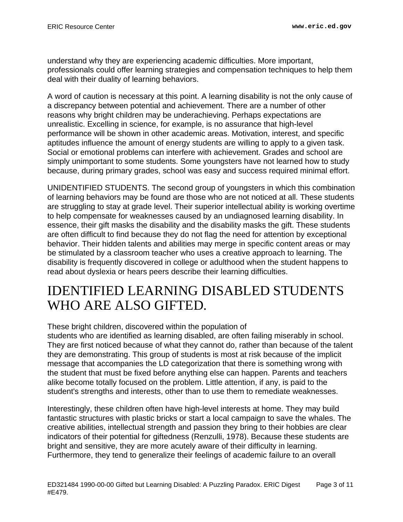understand why they are experiencing academic difficulties. More important, professionals could offer learning strategies and compensation techniques to help them deal with their duality of learning behaviors.

A word of caution is necessary at this point. A learning disability is not the only cause of a discrepancy between potential and achievement. There are a number of other reasons why bright children may be underachieving. Perhaps expectations are unrealistic. Excelling in science, for example, is no assurance that high-level performance will be shown in other academic areas. Motivation, interest, and specific aptitudes influence the amount of energy students are willing to apply to a given task. Social or emotional problems can interfere with achievement. Grades and school are simply unimportant to some students. Some youngsters have not learned how to study because, during primary grades, school was easy and success required minimal effort.

UNIDENTIFIED STUDENTS. The second group of youngsters in which this combination of learning behaviors may be found are those who are not noticed at all. These students are struggling to stay at grade level. Their superior intellectual ability is working overtime to help compensate for weaknesses caused by an undiagnosed learning disability. In essence, their gift masks the disability and the disability masks the gift. These students are often difficult to find because they do not flag the need for attention by exceptional behavior. Their hidden talents and abilities may merge in specific content areas or may be stimulated by a classroom teacher who uses a creative approach to learning. The disability is frequently discovered in college or adulthood when the student happens to read about dyslexia or hears peers describe their learning difficulties.

### <span id="page-2-0"></span>IDENTIFIED LEARNING DISABLED STUDENTS WHO ARE ALSO GIFTED.

These bright children, discovered within the population of

students who are identified as learning disabled, are often failing miserably in school. They are first noticed because of what they cannot do, rather than because of the talent they are demonstrating. This group of students is most at risk because of the implicit message that accompanies the LD categorization that there is something wrong with the student that must be fixed before anything else can happen. Parents and teachers alike become totally focused on the problem. Little attention, if any, is paid to the student's strengths and interests, other than to use them to remediate weaknesses.

Interestingly, these children often have high-level interests at home. They may build fantastic structures with plastic bricks or start a local campaign to save the whales. The creative abilities, intellectual strength and passion they bring to their hobbies are clear indicators of their potential for giftedness (Renzulli, 1978). Because these students are bright and sensitive, they are more acutely aware of their difficulty in learning. Furthermore, they tend to generalize their feelings of academic failure to an overall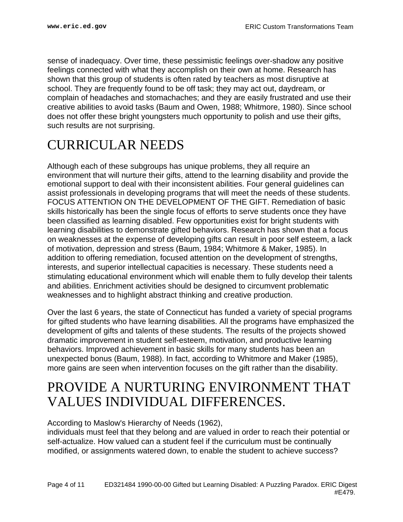sense of inadequacy. Over time, these pessimistic feelings over-shadow any positive feelings connected with what they accomplish on their own at home. Research has shown that this group of students is often rated by teachers as most disruptive at school. They are frequently found to be off task; they may act out, daydream, or complain of headaches and stomachaches; and they are easily frustrated and use their creative abilities to avoid tasks (Baum and Owen, 1988; Whitmore, 1980). Since school does not offer these bright youngsters much opportunity to polish and use their gifts, such results are not surprising.

## <span id="page-3-0"></span>CURRICULAR NEEDS

Although each of these subgroups has unique problems, they all require an environment that will nurture their gifts, attend to the learning disability and provide the emotional support to deal with their inconsistent abilities. Four general guidelines can assist professionals in developing programs that will meet the needs of these students. FOCUS ATTENTION ON THE DEVELOPMENT OF THE GIFT. Remediation of basic skills historically has been the single focus of efforts to serve students once they have been classified as learning disabled. Few opportunities exist for bright students with learning disabilities to demonstrate gifted behaviors. Research has shown that a focus on weaknesses at the expense of developing gifts can result in poor self esteem, a lack of motivation, depression and stress (Baum, 1984; Whitmore & Maker, 1985). In addition to offering remediation, focused attention on the development of strengths, interests, and superior intellectual capacities is necessary. These students need a stimulating educational environment which will enable them to fully develop their talents and abilities. Enrichment activities should be designed to circumvent problematic weaknesses and to highlight abstract thinking and creative production.

Over the last 6 years, the state of Connecticut has funded a variety of special programs for gifted students who have learning disabilities. All the programs have emphasized the development of gifts and talents of these students. The results of the projects showed dramatic improvement in student self-esteem, motivation, and productive learning behaviors. Improved achievement in basic skills for many students has been an unexpected bonus (Baum, 1988). In fact, according to Whitmore and Maker (1985), more gains are seen when intervention focuses on the gift rather than the disability.

### <span id="page-3-1"></span>PROVIDE A NURTURING ENVIRONMENT THAT VALUES INDIVIDUAL DIFFERENCES.

#### According to Maslow's Hierarchy of Needs (1962),

individuals must feel that they belong and are valued in order to reach their potential or self-actualize. How valued can a student feel if the curriculum must be continually modified, or assignments watered down, to enable the student to achieve success?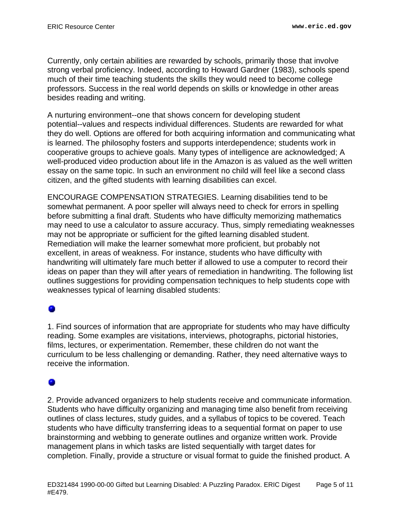Currently, only certain abilities are rewarded by schools, primarily those that involve strong verbal proficiency. Indeed, according to Howard Gardner (1983), schools spend much of their time teaching students the skills they would need to become college professors. Success in the real world depends on skills or knowledge in other areas besides reading and writing.

A nurturing environment--one that shows concern for developing student potential--values and respects individual differences. Students are rewarded for what they do well. Options are offered for both acquiring information and communicating what is learned. The philosophy fosters and supports interdependence; students work in cooperative groups to achieve goals. Many types of intelligence are acknowledged; A well-produced video production about life in the Amazon is as valued as the well written essay on the same topic. In such an environment no child will feel like a second class citizen, and the gifted students with learning disabilities can excel.

ENCOURAGE COMPENSATION STRATEGIES. Learning disabilities tend to be somewhat permanent. A poor speller will always need to check for errors in spelling before submitting a final draft. Students who have difficulty memorizing mathematics may need to use a calculator to assure accuracy. Thus, simply remediating weaknesses may not be appropriate or sufficient for the gifted learning disabled student. Remediation will make the learner somewhat more proficient, but probably not excellent, in areas of weakness. For instance, students who have difficulty with handwriting will ultimately fare much better if allowed to use a computer to record their ideas on paper than they will after years of remediation in handwriting. The following list outlines suggestions for providing compensation techniques to help students cope with weaknesses typical of learning disabled students:

### 0

1. Find sources of information that are appropriate for students who may have difficulty reading. Some examples are visitations, interviews, photographs, pictorial histories, films, lectures, or experimentation. Remember, these children do not want the curriculum to be less challenging or demanding. Rather, they need alternative ways to receive the information.

### ۰

2. Provide advanced organizers to help students receive and communicate information. Students who have difficulty organizing and managing time also benefit from receiving outlines of class lectures, study guides, and a syllabus of topics to be covered. Teach students who have difficulty transferring ideas to a sequential format on paper to use brainstorming and webbing to generate outlines and organize written work. Provide management plans in which tasks are listed sequentially with target dates for completion. Finally, provide a structure or visual format to guide the finished product. A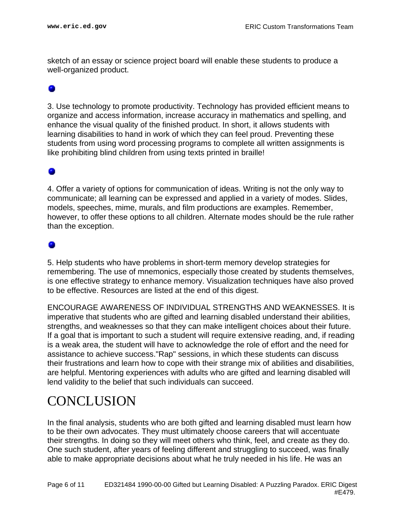sketch of an essay or science project board will enable these students to produce a well-organized product.

#### 0

3. Use technology to promote productivity. Technology has provided efficient means to organize and access information, increase accuracy in mathematics and spelling, and enhance the visual quality of the finished product. In short, it allows students with learning disabilities to hand in work of which they can feel proud. Preventing these students from using word processing programs to complete all written assignments is like prohibiting blind children from using texts printed in braille!

4. Offer a variety of options for communication of ideas. Writing is not the only way to communicate; all learning can be expressed and applied in a variety of modes. Slides, models, speeches, mime, murals, and film productions are examples. Remember, however, to offer these options to all children. Alternate modes should be the rule rather than the exception.

#### ۰

5. Help students who have problems in short-term memory develop strategies for remembering. The use of mnemonics, especially those created by students themselves, is one effective strategy to enhance memory. Visualization techniques have also proved to be effective. Resources are listed at the end of this digest.

ENCOURAGE AWARENESS OF INDIVIDUAL STRENGTHS AND WEAKNESSES. It is imperative that students who are gifted and learning disabled understand their abilities, strengths, and weaknesses so that they can make intelligent choices about their future. If a goal that is important to such a student will require extensive reading, and, if reading is a weak area, the student will have to acknowledge the role of effort and the need for assistance to achieve success."Rap" sessions, in which these students can discuss their frustrations and learn how to cope with their strange mix of abilities and disabilities, are helpful. Mentoring experiences with adults who are gifted and learning disabled will lend validity to the belief that such individuals can succeed.

### <span id="page-5-0"></span>**CONCLUSION**

In the final analysis, students who are both gifted and learning disabled must learn how to be their own advocates. They must ultimately choose careers that will accentuate their strengths. In doing so they will meet others who think, feel, and create as they do. One such student, after years of feeling different and struggling to succeed, was finally able to make appropriate decisions about what he truly needed in his life. He was an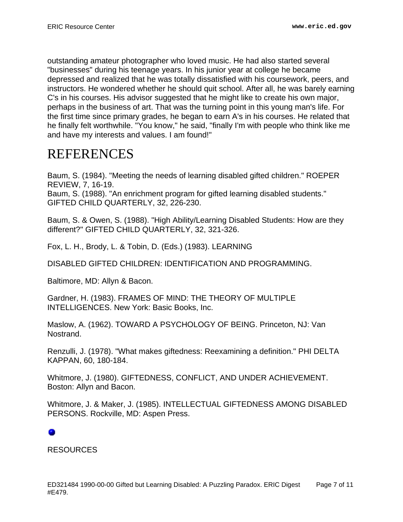outstanding amateur photographer who loved music. He had also started several "businesses" during his teenage years. In his junior year at college he became depressed and realized that he was totally dissatisfied with his coursework, peers, and instructors. He wondered whether he should quit school. After all, he was barely earning C's in his courses. His advisor suggested that he might like to create his own major, perhaps in the business of art. That was the turning point in this young man's life. For the first time since primary grades, he began to earn A's in his courses. He related that he finally felt worthwhile. "You know," he said, "finally I'm with people who think like me and have my interests and values. I am found!"

## <span id="page-6-0"></span>REFERENCES

Baum, S. (1984). "Meeting the needs of learning disabled gifted children." ROEPER REVIEW, 7, 16-19.

Baum, S. (1988). "An enrichment program for gifted learning disabled students." GIFTED CHILD QUARTERLY, 32, 226-230.

Baum, S. & Owen, S. (1988). "High Ability/Learning Disabled Students: How are they different?" GIFTED CHILD QUARTERLY, 32, 321-326.

Fox, L. H., Brody, L. & Tobin, D. (Eds.) (1983). LEARNING

DISABLED GIFTED CHILDREN: IDENTIFICATION AND PROGRAMMING.

Baltimore, MD: Allyn & Bacon.

Gardner, H. (1983). FRAMES OF MIND: THE THEORY OF MULTIPLE INTELLIGENCES. New York: Basic Books, Inc.

Maslow, A. (1962). TOWARD A PSYCHOLOGY OF BEING. Princeton, NJ: Van Nostrand.

Renzulli, J. (1978). "What makes giftedness: Reexamining a definition." PHI DELTA KAPPAN, 60, 180-184.

Whitmore, J. (1980). GIFTEDNESS, CONFLICT, AND UNDER ACHIEVEMENT. Boston: Allyn and Bacon.

Whitmore, J. & Maker, J. (1985). INTELLECTUAL GIFTEDNESS AMONG DISABLED PERSONS. Rockville, MD: Aspen Press.

### ۰

RESOURCES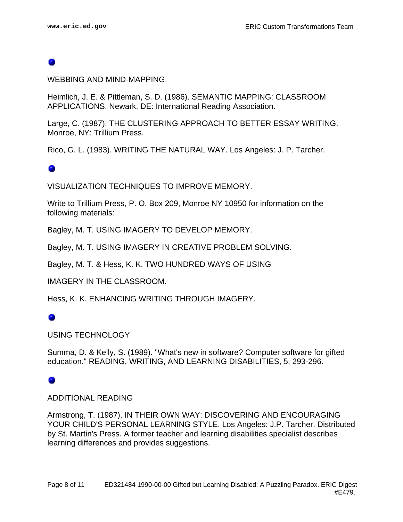WEBBING AND MIND-MAPPING.

Heimlich, J. E. & Pittleman, S. D. (1986). SEMANTIC MAPPING: CLASSROOM APPLICATIONS. Newark, DE: International Reading Association.

Large, C. (1987). THE CLUSTERING APPROACH TO BETTER ESSAY WRITING. Monroe, NY: Trillium Press.

Rico, G. L. (1983). WRITING THE NATURAL WAY. Los Angeles: J. P. Tarcher.

#### ۰

VISUALIZATION TECHNIQUES TO IMPROVE MEMORY.

Write to Trillium Press, P. O. Box 209, Monroe NY 10950 for information on the following materials:

Bagley, M. T. USING IMAGERY TO DEVELOP MEMORY.

Bagley, M. T. USING IMAGERY IN CREATIVE PROBLEM SOLVING.

Bagley, M. T. & Hess, K. K. TWO HUNDRED WAYS OF USING

IMAGERY IN THE CLASSROOM.

Hess, K. K. ENHANCING WRITING THROUGH IMAGERY.

#### ٠

#### USING TECHNOLOGY

Summa, D. & Kelly, S. (1989). "What's new in software? Computer software for gifted education." READING, WRITING, AND LEARNING DISABILITIES, 5, 293-296.

#### ۰

#### ADDITIONAL READING

Armstrong, T. (1987). IN THEIR OWN WAY: DISCOVERING AND ENCOURAGING YOUR CHILD'S PERSONAL LEARNING STYLE. Los Angeles: J.P. Tarcher. Distributed by St. Martin's Press. A former teacher and learning disabilities specialist describes learning differences and provides suggestions.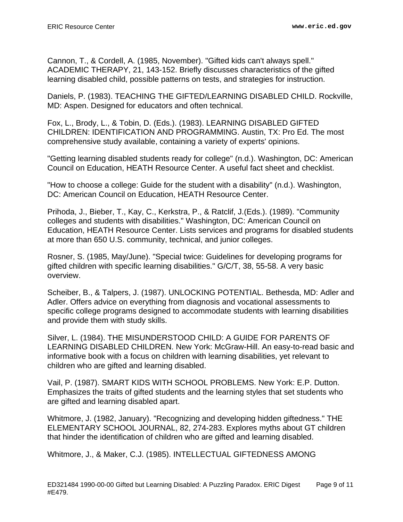Cannon, T., & Cordell, A. (1985, November). "Gifted kids can't always spell." ACADEMIC THERAPY, 21, 143-152. Briefly discusses characteristics of the gifted learning disabled child, possible patterns on tests, and strategies for instruction.

Daniels, P. (1983). TEACHING THE GIFTED/LEARNING DISABLED CHILD. Rockville, MD: Aspen. Designed for educators and often technical.

Fox, L., Brody, L., & Tobin, D. (Eds.). (1983). LEARNING DISABLED GIFTED CHILDREN: IDENTIFICATION AND PROGRAMMING. Austin, TX: Pro Ed. The most comprehensive study available, containing a variety of experts' opinions.

"Getting learning disabled students ready for college" (n.d.). Washington, DC: American Council on Education, HEATH Resource Center. A useful fact sheet and checklist.

"How to choose a college: Guide for the student with a disability" (n.d.). Washington, DC: American Council on Education, HEATH Resource Center.

Prihoda, J., Bieber, T., Kay, C., Kerkstra, P., & Ratclif, J.(Eds.). (1989). "Community colleges and students with disabilities." Washington, DC: American Council on Education, HEATH Resource Center. Lists services and programs for disabled students at more than 650 U.S. community, technical, and junior colleges.

Rosner, S. (1985, May/June). "Special twice: Guidelines for developing programs for gifted children with specific learning disabilities." G/C/T, 38, 55-58. A very basic overview.

Scheiber, B., & Talpers, J. (1987). UNLOCKING POTENTIAL. Bethesda, MD: Adler and Adler. Offers advice on everything from diagnosis and vocational assessments to specific college programs designed to accommodate students with learning disabilities and provide them with study skills.

Silver, L. (1984). THE MISUNDERSTOOD CHILD: A GUIDE FOR PARENTS OF LEARNING DISABLED CHILDREN. New York: McGraw-Hill. An easy-to-read basic and informative book with a focus on children with learning disabilities, yet relevant to children who are gifted and learning disabled.

Vail, P. (1987). SMART KIDS WITH SCHOOL PROBLEMS. New York: E.P. Dutton. Emphasizes the traits of gifted students and the learning styles that set students who are gifted and learning disabled apart.

Whitmore, J. (1982, January). "Recognizing and developing hidden giftedness." THE ELEMENTARY SCHOOL JOURNAL, 82, 274-283. Explores myths about GT children that hinder the identification of children who are gifted and learning disabled.

Whitmore, J., & Maker, C.J. (1985). INTELLECTUAL GIFTEDNESS AMONG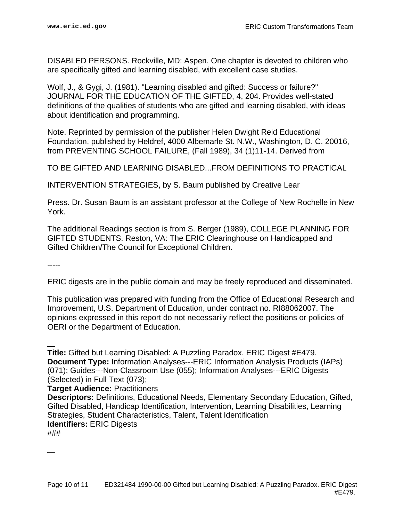DISABLED PERSONS. Rockville, MD: Aspen. One chapter is devoted to children who are specifically gifted and learning disabled, with excellent case studies.

Wolf, J., & Gygi, J. (1981). "Learning disabled and gifted: Success or failure?" JOURNAL FOR THE EDUCATION OF THE GIFTED, 4, 204. Provides well-stated definitions of the qualities of students who are gifted and learning disabled, with ideas about identification and programming.

Note. Reprinted by permission of the publisher Helen Dwight Reid Educational Foundation, published by Heldref, 4000 Albemarle St. N.W., Washington, D. C. 20016, from PREVENTING SCHOOL FAILURE, (Fall 1989), 34 (1)11-14. Derived from

TO BE GIFTED AND LEARNING DISABLED...FROM DEFINITIONS TO PRACTICAL

INTERVENTION STRATEGIES, by S. Baum published by Creative Lear

Press. Dr. Susan Baum is an assistant professor at the College of New Rochelle in New York.

The additional Readings section is from S. Berger (1989), COLLEGE PLANNING FOR GIFTED STUDENTS. Reston, VA: The ERIC Clearinghouse on Handicapped and Gifted Children/The Council for Exceptional Children.

-----

ERIC digests are in the public domain and may be freely reproduced and disseminated.

This publication was prepared with funding from the Office of Educational Research and Improvement, U.S. Department of Education, under contract no. RI88062007. The opinions expressed in this report do not necessarily reflect the positions or policies of OERI or the Department of Education.

**Title:** Gifted but Learning Disabled: A Puzzling Paradox. ERIC Digest #E479. **Document Type:** Information Analyses---ERIC Information Analysis Products (IAPs) (071); Guides---Non-Classroom Use (055); Information Analyses---ERIC Digests (Selected) in Full Text (073);

**Target Audience:** Practitioners

**Descriptors:** Definitions, Educational Needs, Elementary Secondary Education, Gifted, Gifted Disabled, Handicap Identification, Intervention, Learning Disabilities, Learning Strategies, Student Characteristics, Talent, Talent Identification **Identifiers:** ERIC Digests

###